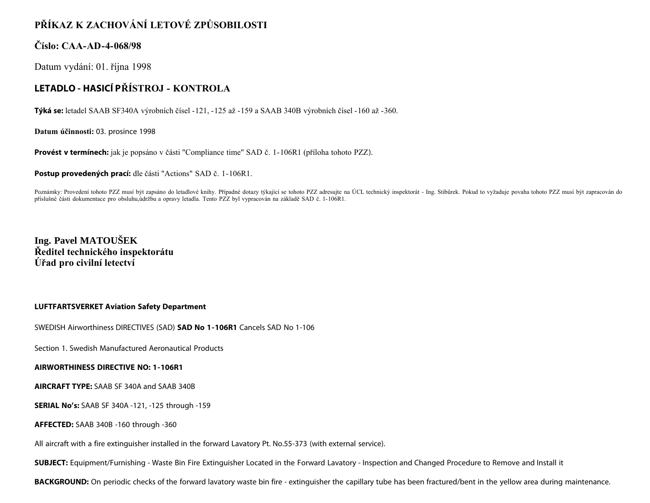# **PŘÍKAZ K ZACHOVÁNÍ LETOVÉ ZPŮSOBILOSTI**

### **Číslo: CAA-AD-4-068/98**

Datum vydání: 01. října 1998

## **LETADLO - HASICÍ PŘÍSTROJ - KONTROLA**

**Týká se:** letadel SAAB SF340A výrobních čísel -121, -125 až -159 a SAAB 340B výrobních čísel -160 až -360.

**Datum účinnosti:** 03. prosince 1998

**Provést v termínech:** jak je popsáno v části "Compliance time" SAD č. 1-106R1 (příloha tohoto PZZ).

**Postup provedených prací:** dle části "Actions" SAD č. 1-106R1.

Poznámky: Provedení tohoto PZZ musí být zapsáno do letadlové knihy. Případné dotazy týkající se tohoto PZZ adresujte na ÚCL technický inspektorát - Ing. Stibůrek. Pokud to vyžaduje povaha tohoto PZZ musí být zapracován do příslušné části dokumentace pro obsluhu,údržbu a opravy letadla. Tento PZZ byl vypracován na základě SAD č. 1-106R1.

**Ing. Pavel MATOUŠEK Ředitel technického inspektorátu Úřad pro civilní letectví**

#### **LUFTFARTSVERKET Aviation Safety Department**

SWEDISH Airworthiness DIRECTIVES (SAD) **SAD No 1-106R1** Cancels SAD No 1-106

Section 1. Swedish Manufactured Aeronautical Products

#### **AIRWORTHINESS DIRECTIVE NO: 1-106R1**

**AIRCRAFT TYPE:** SAAB SF 340A and SAAB 340B

**SERIAL No's:** SAAB SF 340A -121, -125 through -159

**AFFECTED:** SAAB 340B -160 through -360

All aircraft with a fire extinguisher installed in the forward Lavatory Pt. No.55-373 (with external service).

**SUBJECT:** Equipment/Furnishing - Waste Bin Fire Extinguisher Located in the Forward Lavatory - Inspection and Changed Procedure to Remove and Install it

**BACKGROUND:** On periodic checks of the forward lavatory waste bin fire - extinguisher the capillary tube has been fractured/bent in the yellow area during maintenance.